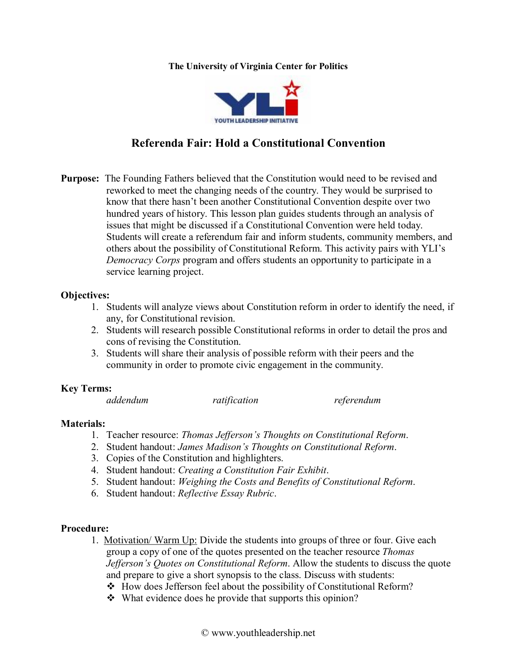#### **The University of Virginia Center for Politics**



# **Referenda Fair: Hold a Constitutional Convention**

**Purpose:** The Founding Fathers believed that the Constitution would need to be revised and reworked to meet the changing needs of the country. They would be surprised to know that there hasn't been another Constitutional Convention despite over two hundred years of history. This lesson plan guides students through an analysis of issues that might be discussed if a Constitutional Convention were held today. Students will create a referendum fair and inform students, community members, and others about the possibility of Constitutional Reform. This activity pairs with YLI's *Democracy Corps* program and offers students an opportunity to participate in a service learning project.

### **Objectives:**

- 1. Students will analyze views about Constitution reform in order to identify the need, if any, for Constitutional revision.
- 2. Students will research possible Constitutional reforms in order to detail the pros and cons of revising the Constitution.
- 3. Students will share their analysis of possible reform with their peers and the community in order to promote civic engagement in the community.

### **Key Terms:**

| addendum | ratification | referendum |
|----------|--------------|------------|
|----------|--------------|------------|

### **Materials:**

- 1. Teacher resource: *Thomas Jefferson's Thoughts on Constitutional Reform*.
- 2. Student handout: *James Madison's Thoughts on Constitutional Reform*.
- 3. Copies of the Constitution and highlighters.
- 4. Student handout: *Creating a Constitution Fair Exhibit*.
- 5. Student handout: *Weighing the Costs and Benefits of Constitutional Reform*.
- 6. Student handout: *Reflective Essay Rubric*.

# **Procedure:**

- 1. Motivation/ Warm Up: Divide the students into groups of three or four. Give each group a copy of one of the quotes presented on the teacher resource *Thomas Jefferson's Quotes on Constitutional Reform*. Allow the students to discuss the quote and prepare to give a short synopsis to the class. Discuss with students:
	- $\triangleleft$  How does Jefferson feel about the possibility of Constitutional Reform?
	- $\bullet$  What evidence does he provide that supports this opinion?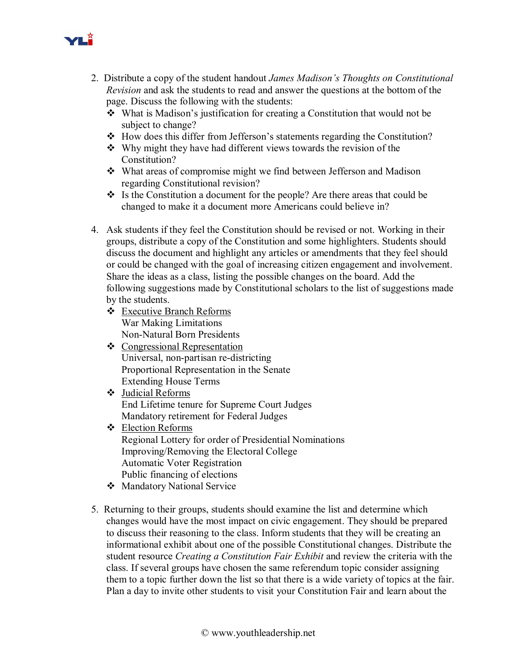

- 2. Distribute a copy of the student handout *James Madison's Thoughts on Constitutional Revision* and ask the students to read and answer the questions at the bottom of the page. Discuss the following with the students:
	- $\triangle$  What is Madison's justification for creating a Constitution that would not be subject to change?
	- $\triangle$  How does this differ from Jefferson's statements regarding the Constitution?
	- $\cdot$  Why might they have had different views towards the revision of the Constitution?
	- What areas of compromise might we find between Jefferson and Madison regarding Constitutional revision?
	- $\cdot$  Is the Constitution a document for the people? Are there areas that could be changed to make it a document more Americans could believe in?
- 4. Ask students if they feel the Constitution should be revised or not. Working in their groups, distribute a copy of the Constitution and some highlighters. Students should discuss the document and highlight any articles or amendments that they feel should or could be changed with the goal of increasing citizen engagement and involvement. Share the ideas as a class, listing the possible changes on the board. Add the following suggestions made by Constitutional scholars to the list of suggestions made by the students.
	- v Executive Branch Reforms War Making Limitations Non-Natural Born Presidents
	- v Congressional Representation Universal, non-partisan re-districting Proportional Representation in the Senate Extending House Terms
	- $\div$  Judicial Reforms End Lifetime tenure for Supreme Court Judges Mandatory retirement for Federal Judges
	- $\div$  Election Reforms Regional Lottery for order of Presidential Nominations Improving/Removing the Electoral College Automatic Voter Registration Public financing of elections
	- ❖ Mandatory National Service
- 5. Returning to their groups, students should examine the list and determine which changes would have the most impact on civic engagement. They should be prepared to discuss their reasoning to the class. Inform students that they will be creating an informational exhibit about one of the possible Constitutional changes. Distribute the student resource *Creating a Constitution Fair Exhibit* and review the criteria with the class. If several groups have chosen the same referendum topic consider assigning them to a topic further down the list so that there is a wide variety of topics at the fair. Plan a day to invite other students to visit your Constitution Fair and learn about the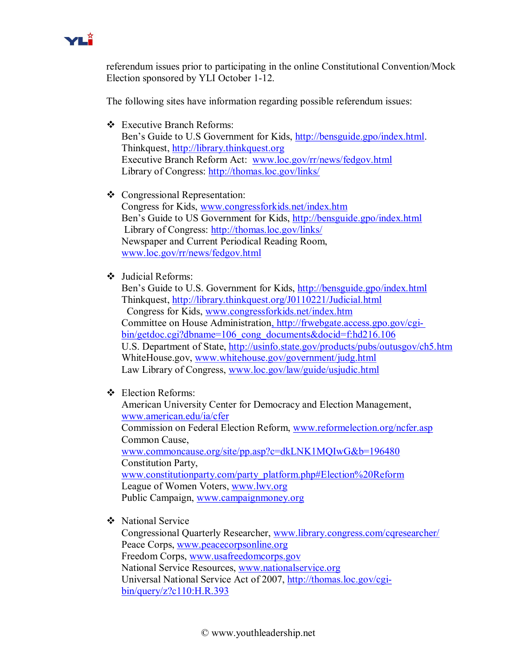

referendum issues prior to participating in the online Constitutional Convention/Mock Election sponsored by YLI October 1-12.

The following sites have information regarding possible referendum issues:

- v Executive Branch Reforms: Ben's Guide to U.S Government for Kids, [http://bensguide.gpo/index.html.](http://bensguide.gpo/index.html) Thinkquest, [http://library.thinkquest.org](http://library.thinkquest.org/)  Executive Branch Reform Act: [www.loc.gov/rr/news/fedgov.html](http://www.loc.gov/rr/news/fedgov.html) Library of Congress: <http://thomas.loc.gov/links/>
- v Congressional Representation: Congress for Kids, [www.congressforkids.net/index.htm](http://www.congressforkids.net/index.htm)  Ben's Guide to US Government for Kids, <http://bensguide.gpo/index.html> Library of Congress: <http://thomas.loc.gov/links/> Newspaper and Current Periodical Reading Room, [www.loc.gov/rr/news/fedgov.html](http://www.loc.gov/rr/news/fedgov.html)
- $\div$  Judicial Reforms:

Ben's Guide to U.S. Government for Kids, <http://bensguide.gpo/index.html> Thinkquest, <http://library.thinkquest.org/J0110221/Judicial.html> Congress for Kids, [www.congressforkids.net/index.htm](http://www.congressforkids.net/index.htm)  Committee on House Administration, http://frwebgate.access.gpo.gov/cgi [bin/getdoc.cgi?dbname=106\\_cong\\_documents&docid=f:hd216.106](file:///C|/Documents%20and%20Settings/kmd6g/Local%20Settings/Temporary%20Internet%20Files/OLK1F/,%20http%7C/frwebgate.access.gpo.gov/cgi-bin/getdoc.cgi%3Fdbname=106_cong_documents&docid=f%7Chd216.106)  U.S. Department of State, <http://usinfo.state.gov/products/pubs/outusgov/ch5.htm> WhiteHouse.gov, [www.whitehouse.gov/government/judg.html](http://www.whitehouse.gov/government/judg.html)  Law Library of Congress, [www.loc.gov/law/guide/usjudic.html](http://www.loc.gov/law/guide/usjudic.html)

v Election Reforms:

American University Center for Democracy and Election Management, [www.american.edu/ia/cfer](http://www.american.edu/ia/cfer) Commission on Federal Election Reform, [www.reformelection.org/ncfer.asp](http://www.reformelection.org/ncfer.asp)  Common Cause, [www.commoncause.org/site/pp.asp?c=dkLNK1MQIwG&b=196480](http://www.commoncause.org/site/pp.asp?c=dkLNK1MQIwG&b=196480)  Constitution Party, [www.constitutionparty.com/party\\_platform.php#Election%20Reform](http://www.constitutionparty.com/party_platform.php) League of Women Voters, [www.lwv.org](http://www.lwv.org/) Public Campaign, [www.campaignmoney.org](http://www.campaignmoney.org/)

**❖** National Service

Congressional Quarterly Researcher, [www.library.congress.com/cqresearcher/](http://www.library.congress.com/cqresearcher/)  Peace Corps, [www.peacecorpsonline.org](http://www.peacecorpsonline.org/) Freedom Corps, [www.usafreedomcorps.gov](http://www.usafreedomcorps.gov/) National Service Resources, [www.nationalservice.org](http://www.nationalservice.org/) Universal National Service Act of 2007, http://thomas.loc.gov/cgi [bin/query/z?c110:H.R.393](http://thomas.loc.gov/cgi-bin/query/z?c110%3AH.R.393)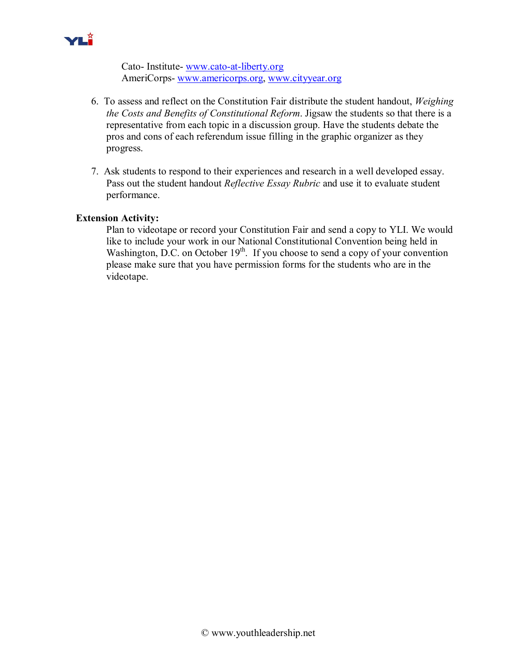

Cato-Institute-www.cato-at-liberty.org AmeriCorps-[www.americorps.org,](http://www.americorps.org/) [www.cityyear.org](http://www.cityyear.org/)

- 6. To assess and reflect on the Constitution Fair distribute the student handout, *Weighing the Costs and Benefits of Constitutional Reform*. Jigsaw the students so that there is a representative from each topic in a discussion group. Have the students debate the pros and cons of each referendum issue filling in the graphic organizer as they progress.
- 7. Ask students to respond to their experiences and research in a well developed essay. Pass out the student handout *Reflective Essay Rubric* and use it to evaluate student performance.

### **Extension Activity:**

Plan to videotape or record your Constitution Fair and send a copy to YLI. We would like to include your work in our National Constitutional Convention being held in Washington, D.C. on October  $19<sup>th</sup>$ . If you choose to send a copy of your convention please make sure that you have permission forms for the students who are in the videotape.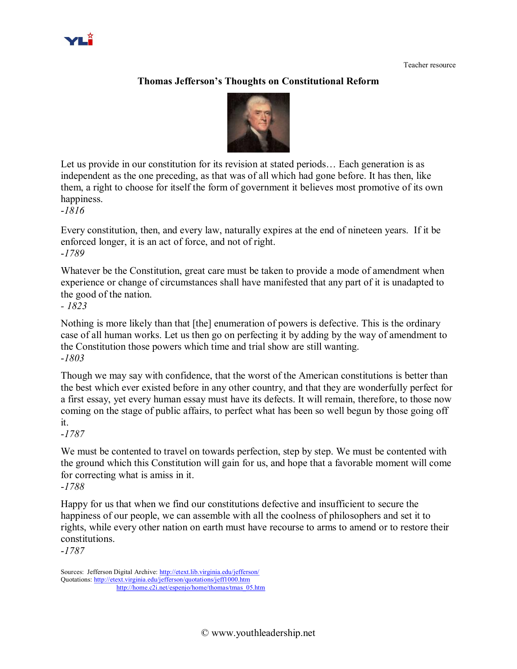# **Thomas Jefferson's Thoughts on Constitutional Reform**



Let us provide in our constitution for its revision at stated periods... Each generation is as independent as the one preceding, as that was of all which had gone before. It has then, like them, a right to choose for itself the form of government it believes most promotive of its own happiness.

*1816*

Every constitution, then, and every law, naturally expires at the end of nineteen years. If it be enforced longer, it is an act of force, and not of right. *1789*

Whatever be the Constitution, great care must be taken to provide a mode of amendment when experience or change of circumstances shall have manifested that any part of it is unadapted to the good of the nation.

*1823*

Nothing is more likely than that [the] enumeration of powers is defective. This is the ordinary case of all human works. Let us then go on perfecting it by adding by the way of amendment to the Constitution those powers which time and trial show are still wanting. *1803*

Though we may say with confidence, that the worst of the American constitutions is better than the best which ever existed before in any other country, and that they are wonderfully perfect for a first essay, yet every human essay must have its defects. It will remain, therefore, to those now coming on the stage of public affairs, to perfect what has been so well begun by those going off it.

*1787*

We must be contented to travel on towards perfection, step by step. We must be contented with the ground which this Constitution will gain for us, and hope that a favorable moment will come for correcting what is amiss in it.

*1788*

Happy for us that when we find our constitutions defective and insufficient to secure the happiness of our people, we can assemble with all the coolness of philosophers and set it to rights, while every other nation on earth must have recourse to arms to amend or to restore their constitutions.

*1787*

Sources: Jefferson Digital Archive: <http://etext.lib.virginia.edu/jefferson/> Quotations:<http://etext.virginia.edu/jefferson/quotations/jeff1000.htm> [http://home.c2i.net/espenjo/home/thomas/tmas\\_05.htm](http://home.c2i.net/espenjo/home/thomas/tmas_05.htm)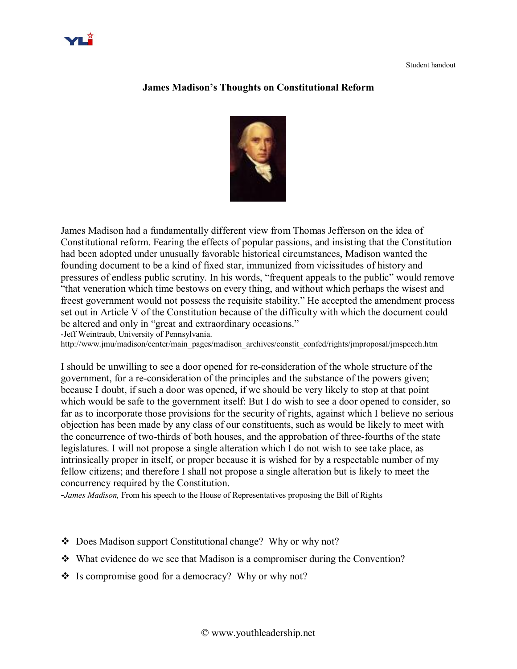

### **James Madison's Thoughts on Constitutional Reform**



James Madison had a fundamentally different view from Thomas Jefferson on the idea of Constitutional reform. Fearing the effects of popular passions, and insisting that the Constitution had been adopted under unusually favorable historical circumstances, Madison wanted the founding document to be a kind of fixed star, immunized from vicissitudes of history and pressures of endless public scrutiny. In his words, "frequent appeals to the public" would remove "that veneration which time bestows on every thing, and without which perhaps the wisest and freest government would not possess the requisite stability." He accepted the amendment process set out in Article V of the Constitution because of the difficulty with which the document could be altered and only in "great and extraordinary occasions." Jeff Weintraub, University of Pennsylvania.

http://www.jmu/madison/center/main\_pages/madison\_archives/constit\_confed/rights/jmproposal/jmspeech.htm

I should be unwilling to see a door opened for reconsideration of the whole structure of the government, for a reconsideration of the principles and the substance of the powers given; because I doubt, if such a door was opened, if we should be very likely to stop at that point which would be safe to the government itself: But I do wish to see a door opened to consider, so far as to incorporate those provisions for the security of rights, against which I believe no serious objection has been made by any class of our constituents, such as would be likely to meet with the concurrence of two-thirds of both houses, and the approbation of three-fourths of the state legislatures. I will not propose a single alteration which I do not wish to see take place, as intrinsically proper in itself, or proper because it is wished for by a respectable number of my fellow citizens; and therefore I shall not propose a single alteration but is likely to meet the concurrency required by the Constitution.

*James Madison,* From his speech to the House of Representatives proposing the Bill of Rights

- ◆ Does Madison support Constitutional change? Why or why not?
- $\cdot$  What evidence do we see that Madison is a compromiser during the Convention?
- $\cdot$  Is compromise good for a democracy? Why or why not?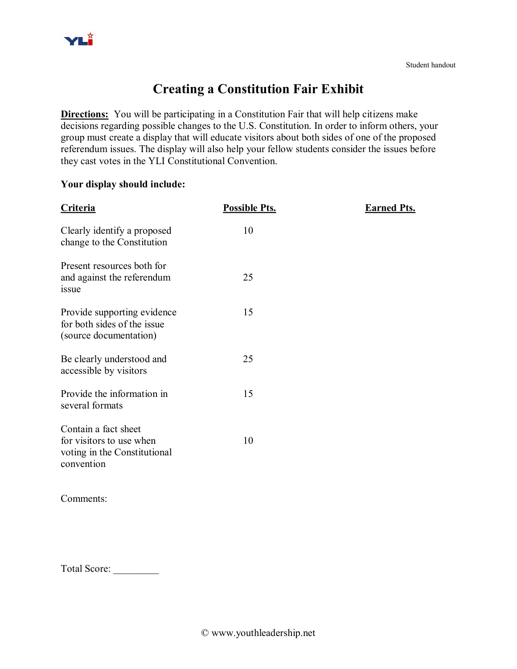# **Creating a Constitution Fair Exhibit**

**Directions:** You will be participating in a Constitution Fair that will help citizens make decisions regarding possible changes to the U.S. Constitution. In order to inform others, your group must create a display that will educate visitors about both sides of one of the proposed referendum issues. The display will also help your fellow students consider the issues before they cast votes in the YLI Constitutional Convention.

# **Your display should include:**

| <b>Criteria</b>                                                                                | <b>Possible Pts.</b> | <b>Earned Pts.</b> |
|------------------------------------------------------------------------------------------------|----------------------|--------------------|
| Clearly identify a proposed<br>change to the Constitution                                      | 10                   |                    |
| Present resources both for<br>and against the referendum<br>issue                              | 25                   |                    |
| Provide supporting evidence<br>for both sides of the issue<br>(source documentation)           | 15                   |                    |
| Be clearly understood and<br>accessible by visitors                                            | 25                   |                    |
| Provide the information in<br>several formats                                                  | 15                   |                    |
| Contain a fact sheet<br>for visitors to use when<br>voting in the Constitutional<br>convention | 10                   |                    |
| Comments:                                                                                      |                      |                    |

Total Score: \_\_\_\_\_\_\_\_\_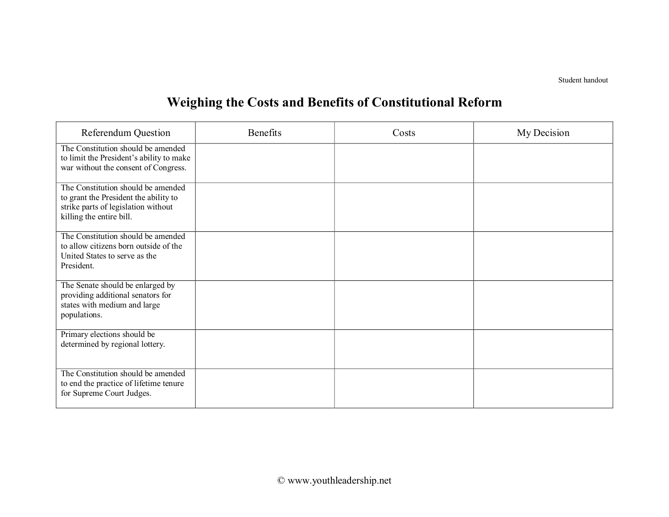Student handout

# **Weighing the Costs and Benefits of Constitutional Reform**

| <b>Referendum Question</b>                                                                                                                     | <b>Benefits</b> | Costs | My Decision |
|------------------------------------------------------------------------------------------------------------------------------------------------|-----------------|-------|-------------|
| The Constitution should be amended<br>to limit the President's ability to make<br>war without the consent of Congress.                         |                 |       |             |
| The Constitution should be amended<br>to grant the President the ability to<br>strike parts of legislation without<br>killing the entire bill. |                 |       |             |
| The Constitution should be amended<br>to allow citizens born outside of the<br>United States to serve as the<br>President.                     |                 |       |             |
| The Senate should be enlarged by<br>providing additional senators for<br>states with medium and large<br>populations.                          |                 |       |             |
| Primary elections should be<br>determined by regional lottery.                                                                                 |                 |       |             |
| The Constitution should be amended<br>to end the practice of lifetime tenure<br>for Supreme Court Judges.                                      |                 |       |             |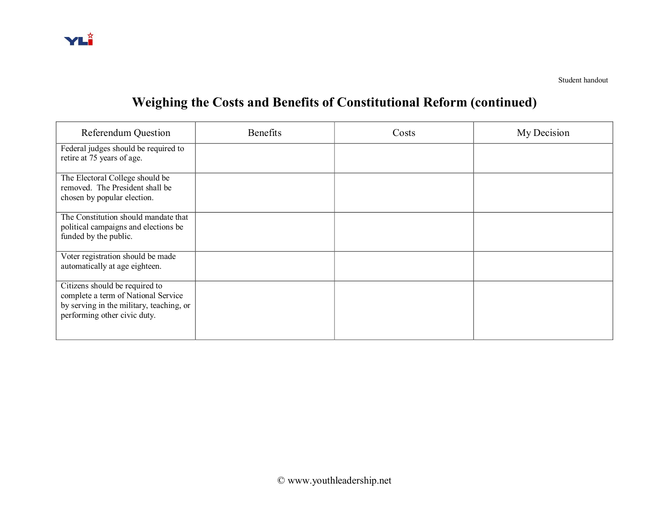

# **Weighing the Costs and Benefits of Constitutional Reform (continued)**

| <b>Referendum Question</b>                                                                                                                        | <b>Benefits</b> | Costs | My Decision |
|---------------------------------------------------------------------------------------------------------------------------------------------------|-----------------|-------|-------------|
| Federal judges should be required to<br>retire at 75 years of age.                                                                                |                 |       |             |
| The Electoral College should be<br>removed. The President shall be<br>chosen by popular election.                                                 |                 |       |             |
| The Constitution should mandate that<br>political campaigns and elections be<br>funded by the public.                                             |                 |       |             |
| Voter registration should be made<br>automatically at age eighteen.                                                                               |                 |       |             |
| Citizens should be required to<br>complete a term of National Service<br>by serving in the military, teaching, or<br>performing other civic duty. |                 |       |             |